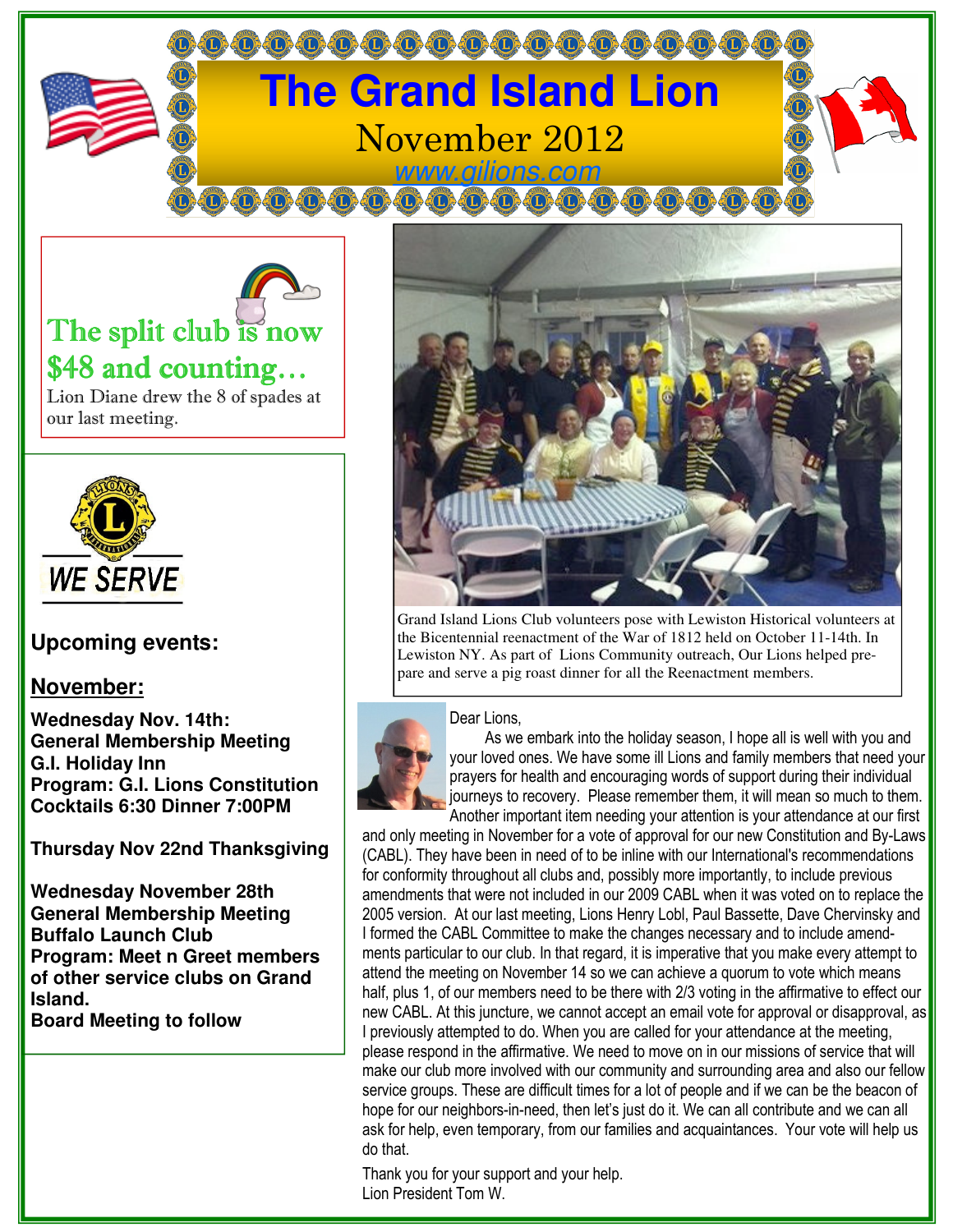



## \$48 and counting…

Lion Diane drew the 8 of spades at our last meeting.



## **Upcoming events:**

## **November:**

**Wednesday Nov. 14th: General Membership Meeting G.I. Holiday Inn Program: G.I. Lions Constitution Cocktails 6:30 Dinner 7:00PM** 

**Thursday Nov 22nd Thanksgiving** 

**Wednesday November 28th General Membership Meeting Buffalo Launch Club Program: Meet n Greet members of other service clubs on Grand Island. Board Meeting to follow** 



Grand Island Lions Club volunteers pose with Lewiston Historical volunteers at the Bicentennial reenactment of the War of 1812 held on October 11-14th. In Lewiston NY. As part of Lions Community outreach, Our Lions helped prepare and serve a pig roast dinner for all the Reenactment members.



## Dear Lions,

 As we embark into the holiday season, I hope all is well with you and your loved ones. We have some ill Lions and family members that need your prayers for health and encouraging words of support during their individual journeys to recovery. Please remember them, it will mean so much to them. Another important item needing your attention is your attendance at our first

and only meeting in November for a vote of approval for our new Constitution and By-Laws (CABL). They have been in need of to be inline with our International's recommendations for conformity throughout all clubs and, possibly more importantly, to include previous amendments that were not included in our 2009 CABL when it was voted on to replace the 2005 version. At our last meeting, Lions Henry Lobl, Paul Bassette, Dave Chervinsky and I formed the CABL Committee to make the changes necessary and to include amendments particular to our club. In that regard, it is imperative that you make every attempt to attend the meeting on November 14 so we can achieve a quorum to vote which means half, plus 1, of our members need to be there with 2/3 voting in the affirmative to effect our new CABL. At this juncture, we cannot accept an email vote for approval or disapproval, as I previously attempted to do. When you are called for your attendance at the meeting, please respond in the affirmative. We need to move on in our missions of service that will make our club more involved with our community and surrounding area and also our fellow service groups. These are difficult times for a lot of people and if we can be the beacon of hope for our neighbors-in-need, then let's just do it. We can all contribute and we can all ask for help, even temporary, from our families and acquaintances. Your vote will help us do that.

Thank you for your support and your help. Lion President Tom W.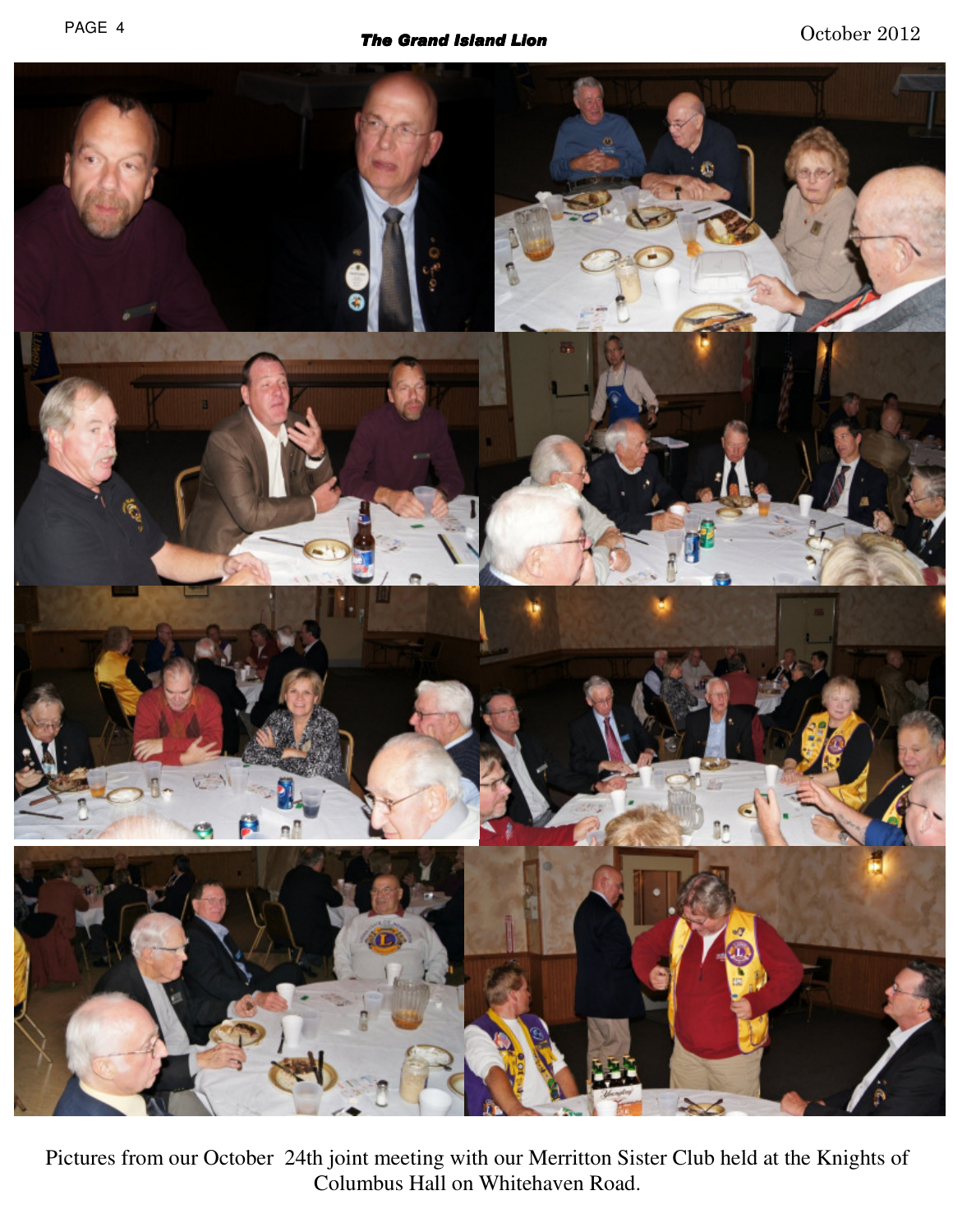

Pictures from our October 24th joint meeting with our Merritton Sister Club held at the Knights of Columbus Hall on Whitehaven Road.